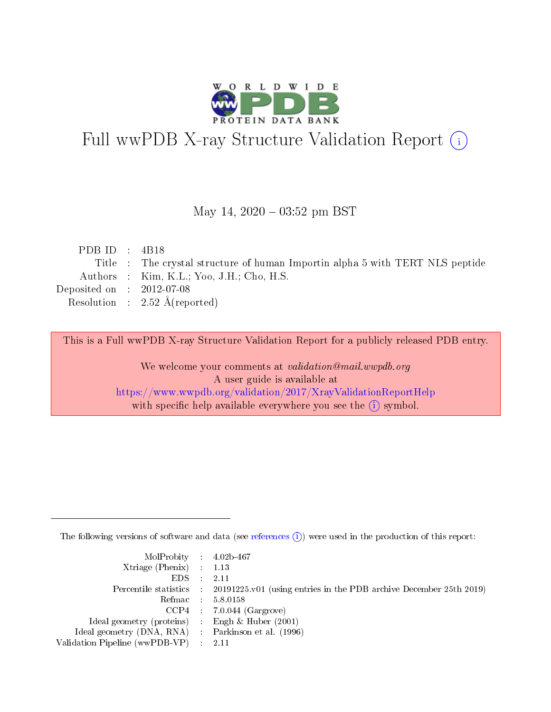

# Full wwPDB X-ray Structure Validation Report (i)

#### May 14,  $2020 - 03:52$  pm BST

| PDB ID : $4B18$                      |                                                                               |
|--------------------------------------|-------------------------------------------------------------------------------|
|                                      | Title : The crystal structure of human Importin alpha 5 with TERT NLS peptide |
|                                      | Authors : Kim, K.L.; Yoo, J.H.; Cho, H.S.                                     |
| Deposited on $\therefore$ 2012-07-08 |                                                                               |
|                                      | Resolution : $2.52 \text{ Å}$ (reported)                                      |
|                                      |                                                                               |

This is a Full wwPDB X-ray Structure Validation Report for a publicly released PDB entry.

We welcome your comments at validation@mail.wwpdb.org A user guide is available at <https://www.wwpdb.org/validation/2017/XrayValidationReportHelp> with specific help available everywhere you see the  $(i)$  symbol.

The following versions of software and data (see [references](https://www.wwpdb.org/validation/2017/XrayValidationReportHelp#references)  $(i)$ ) were used in the production of this report:

| $MolProbability$ 4.02b-467                          |                                                                                            |
|-----------------------------------------------------|--------------------------------------------------------------------------------------------|
| Xtriage (Phenix) $: 1.13$                           |                                                                                            |
| $EDS$ :                                             | -2.11                                                                                      |
|                                                     | Percentile statistics : 20191225.v01 (using entries in the PDB archive December 25th 2019) |
|                                                     | Refmac : 5.8.0158                                                                          |
|                                                     | $CCP4$ : 7.0.044 (Gargrove)                                                                |
| Ideal geometry (proteins) : Engh $\&$ Huber (2001)  |                                                                                            |
| Ideal geometry (DNA, RNA) : Parkinson et al. (1996) |                                                                                            |
| Validation Pipeline (wwPDB-VP)                      | -2.11                                                                                      |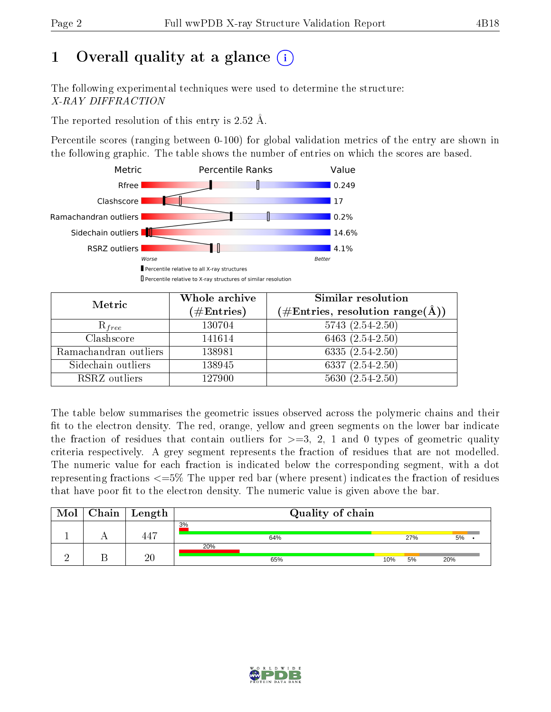# 1 [O](https://www.wwpdb.org/validation/2017/XrayValidationReportHelp#overall_quality)verall quality at a glance  $(i)$

The following experimental techniques were used to determine the structure: X-RAY DIFFRACTION

The reported resolution of this entry is 2.52 Å.

Percentile scores (ranging between 0-100) for global validation metrics of the entry are shown in the following graphic. The table shows the number of entries on which the scores are based.



| Metric                | Whole archive<br>$(\#\text{Entries})$ | Similar resolution<br>$(\#\text{Entries},\,\text{resolution}\,\,\text{range}(\textup{\AA}))$ |
|-----------------------|---------------------------------------|----------------------------------------------------------------------------------------------|
| $R_{free}$            | 130704                                | $5743(2.54-2.50)$                                                                            |
| Clashscore            | 141614                                | 6463 $(2.54-2.50)$                                                                           |
| Ramachandran outliers | 138981                                | 6335 $(2.54 - 2.50)$                                                                         |
| Sidechain outliers    | 138945                                | $6337 (2.54 - 2.50)$                                                                         |
| RSRZ outliers         | 127900                                | $5630(2.54-2.50)$                                                                            |

The table below summarises the geometric issues observed across the polymeric chains and their fit to the electron density. The red, orange, yellow and green segments on the lower bar indicate the fraction of residues that contain outliers for  $>=3, 2, 1$  and 0 types of geometric quality criteria respectively. A grey segment represents the fraction of residues that are not modelled. The numeric value for each fraction is indicated below the corresponding segment, with a dot representing fractions  $\epsilon=5\%$  The upper red bar (where present) indicates the fraction of residues that have poor fit to the electron density. The numeric value is given above the bar.

| Mol | Chain   Length  | Quality of chain |     |     |         |  |  |
|-----|-----------------|------------------|-----|-----|---------|--|--|
|     | $44^{\circ}$    | 3%<br>64%        |     | 27% | $5\%$ . |  |  |
|     | $\overline{20}$ | 20%<br>65%       | 10% | 5%  | 20%     |  |  |

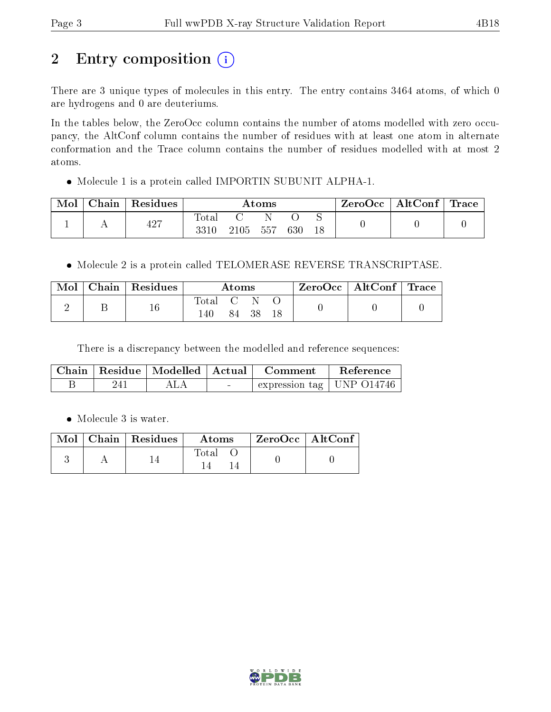# 2 Entry composition (i)

There are 3 unique types of molecules in this entry. The entry contains 3464 atoms, of which 0 are hydrogens and 0 are deuteriums.

In the tables below, the ZeroOcc column contains the number of atoms modelled with zero occupancy, the AltConf column contains the number of residues with at least one atom in alternate conformation and the Trace column contains the number of residues modelled with at most 2 atoms.

Molecule 1 is a protein called IMPORTIN SUBUNIT ALPHA-1.

| Mol | Chain | Residues | $\rm{Atoms}$        |      |     |     | ZeroOcc | $\mid$ AltConf $\mid$ Trace |  |  |
|-----|-------|----------|---------------------|------|-----|-----|---------|-----------------------------|--|--|
|     |       | 427      | $\rm Total$<br>3310 | 2105 | 557 | 630 | 18      |                             |  |  |

Molecule 2 is a protein called TELOMERASE REVERSE TRANSCRIPTASE.

| $\bf{Mol}$ | $\mid$ Chain $\mid$ Residues | Atoms              |  | ZeroOcc   AltConf   Trace |  |  |  |
|------------|------------------------------|--------------------|--|---------------------------|--|--|--|
|            |                              | . Total C N<br>140 |  | 84 38 18                  |  |  |  |

There is a discrepancy between the modelled and reference sequences:

|  | Chain   Residue   Modelled   Actual |                | Comment                     | Reference |
|--|-------------------------------------|----------------|-----------------------------|-----------|
|  |                                     | <b>Section</b> | expression tag   UNP 014746 |           |

• Molecule 3 is water.

|  | $\text{Mol}$   Chain   Residues | $\boldsymbol{\mathrm{Atoms}}$ | ZeroOcc   AltConf |  |
|--|---------------------------------|-------------------------------|-------------------|--|
|  |                                 | Total                         |                   |  |

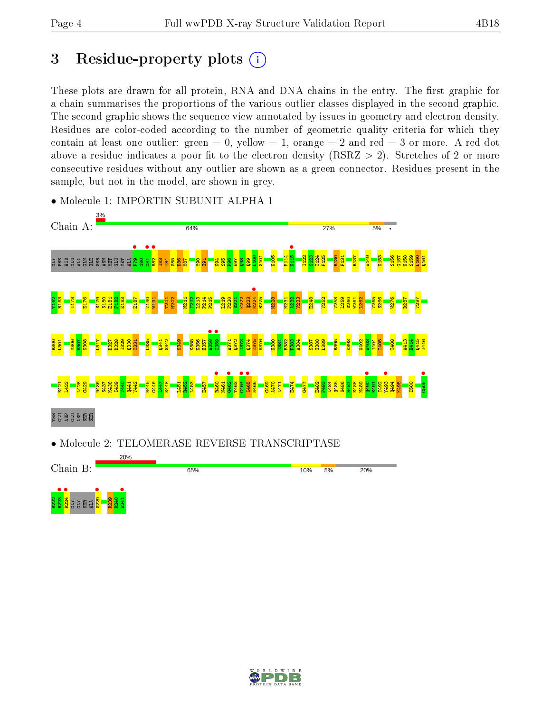## 3 Residue-property plots  $(i)$

These plots are drawn for all protein, RNA and DNA chains in the entry. The first graphic for a chain summarises the proportions of the various outlier classes displayed in the second graphic. The second graphic shows the sequence view annotated by issues in geometry and electron density. Residues are color-coded according to the number of geometric quality criteria for which they contain at least one outlier: green  $= 0$ , yellow  $= 1$ , orange  $= 2$  and red  $= 3$  or more. A red dot above a residue indicates a poor fit to the electron density (RSRZ  $> 2$ ). Stretches of 2 or more consecutive residues without any outlier are shown as a green connector. Residues present in the sample, but not in the model, are shown in grey.



• Molecule 1: IMPORTIN SUBUNIT ALPHA-1



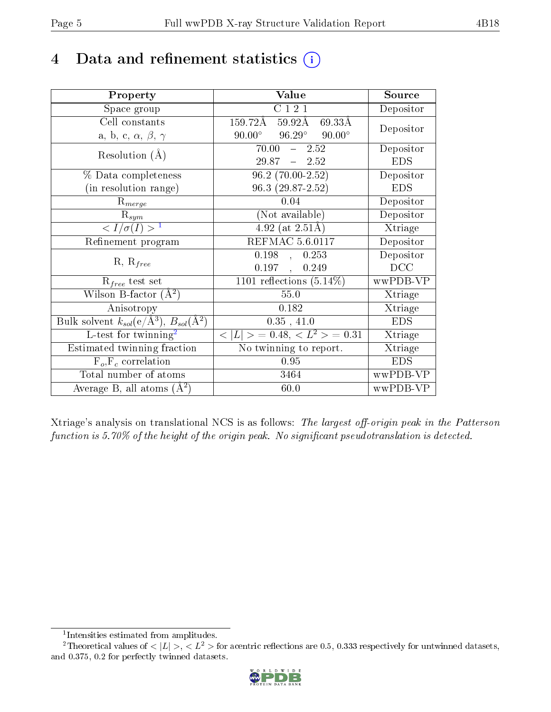# 4 Data and refinement statistics  $(i)$

| Property                                                             | Value                                           | Source     |
|----------------------------------------------------------------------|-------------------------------------------------|------------|
| Space group                                                          | C 1 2 1                                         | Depositor  |
| Cell constants                                                       | $159.72 \textup{\AA}$<br>69.33Å<br>59.92Å       | Depositor  |
| a, b, c, $\alpha$ , $\beta$ , $\gamma$                               | $90.00^{\circ}$ $96.29^{\circ}$ $90.00^{\circ}$ |            |
| Resolution $(A)$                                                     | $70.00 - 2.52$                                  | Depositor  |
|                                                                      | $29.87 - 2.52$                                  | <b>EDS</b> |
| % Data completeness                                                  | $96.2(70.00-2.52)$                              | Depositor  |
| (in resolution range)                                                | 96.3 (29.87-2.52)                               | <b>EDS</b> |
| $R_{merge}$                                                          | 0.04                                            | Depositor  |
| $\mathbf{R}_{sym}$                                                   | (Not available)                                 | Depositor  |
| $\langle I/\sigma(I) \rangle$ <sup>1</sup>                           | $4.92$ (at 2.51Å)                               | Xtriage    |
| Refinement program                                                   | <b>REFMAC 5.6.0117</b>                          | Depositor  |
| $R, R_{free}$                                                        | 0.198,<br>0.253                                 | Depositor  |
|                                                                      | 0.197,<br>0.249                                 | DCC        |
| $R_{free}$ test set                                                  | 1101 reflections $(5.14\%)$                     | wwPDB-VP   |
| Wilson B-factor $(A^2)$                                              | $55.0\,$                                        | Xtriage    |
| Anisotropy                                                           | 0.182                                           | Xtriage    |
| Bulk solvent $k_{sol}(e/\mathring{A}^3)$ , $B_{sol}(\mathring{A}^2)$ | 0.35, 41.0                                      | <b>EDS</b> |
| L-test for twinning <sup>2</sup>                                     | $< L >$ = 0.48, $< L2 >$ = 0.31                 | Xtriage    |
| Estimated twinning fraction                                          | No twinning to report.                          | Xtriage    |
| $F_o, F_c$ correlation                                               | 0.95                                            | <b>EDS</b> |
| Total number of atoms                                                | 3464                                            | wwPDB-VP   |
| Average B, all atoms $(A^2)$                                         | 60.0                                            | wwPDB-VP   |

Xtriage's analysis on translational NCS is as follows: The largest off-origin peak in the Patterson function is  $5.70\%$  of the height of the origin peak. No significant pseudotranslation is detected.

<sup>&</sup>lt;sup>2</sup>Theoretical values of  $\langle |L| \rangle$ ,  $\langle L^2 \rangle$  for acentric reflections are 0.5, 0.333 respectively for untwinned datasets, and 0.375, 0.2 for perfectly twinned datasets.



<span id="page-4-1"></span><span id="page-4-0"></span><sup>1</sup> Intensities estimated from amplitudes.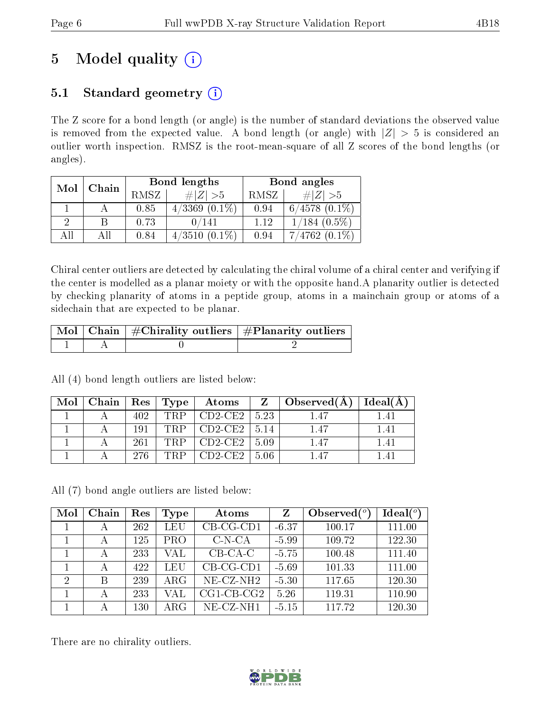# 5 Model quality  $(i)$

## 5.1 Standard geometry  $(i)$

The Z score for a bond length (or angle) is the number of standard deviations the observed value is removed from the expected value. A bond length (or angle) with  $|Z| > 5$  is considered an outlier worth inspection. RMSZ is the root-mean-square of all Z scores of the bond lengths (or angles).

| Mol | Chain |      | Bond lengths        | Bond angles |                    |  |
|-----|-------|------|---------------------|-------------|--------------------|--|
|     |       | RMSZ | $\# Z  > 5$         | RMSZ        | # $ Z  > 5$        |  |
|     |       | 0.85 | $4/3369$ $(0.1\%)$  | 0.94        | $6/4578$ $(0.1\%)$ |  |
| 9   |       | 0.73 | 0/141               | 1.12        | $1/184$ $(0.5\%)$  |  |
| All |       | 0.84 | 4/3510<br>$(0.1\%)$ | 0.94        | $7/4762(0.1\%)$    |  |

Chiral center outliers are detected by calculating the chiral volume of a chiral center and verifying if the center is modelled as a planar moiety or with the opposite hand.A planarity outlier is detected by checking planarity of atoms in a peptide group, atoms in a mainchain group or atoms of a sidechain that are expected to be planar.

|  | $\sqrt{\text{Mol} \mid \text{Chain}}$   #Chirality outliers   #Planarity outliers |
|--|-----------------------------------------------------------------------------------|
|  |                                                                                   |

All (4) bond length outliers are listed below:

| Mol | $\vert$ Chain $\vert$ Res $\vert$ Type $\vert$ |      |     | Atoms          |       | $\Box$ Observed(A) | Ideal(A) |
|-----|------------------------------------------------|------|-----|----------------|-------|--------------------|----------|
|     |                                                | 402. | TRP | $CD2-CE2$      | -5.23 | 1.47               |          |
|     |                                                | 191  | TRP | CD2-CE2   5.14 |       | 1.47               | 141      |
|     |                                                | 261  | TRP | $CD2-CE2$      | -5.09 | 1.47               |          |
|     |                                                | 276. | TRP | CD2CE2         | 5.06  | 147                |          |

All (7) bond angle outliers are listed below:

| Mol            | Chain | Res     | Type       | Atoms                    | Z       | Observed $(°)$ | Ideal(°) |
|----------------|-------|---------|------------|--------------------------|---------|----------------|----------|
|                | А     | 262     | LEU        | $CB-CG-CD1$              | $-6.37$ | 100.17         | 111.00   |
|                | А     | 125     | <b>PRO</b> | $C-N-CA$                 | $-5.99$ | 109.72         | 122.30   |
|                | А     | 233     | VAL        | $CB-CA-C$                | $-5.75$ | 100.48         | 111.40   |
|                | А     | 422     | LEU        | $CB-CG-CD1$              | $-5.69$ | 101.33         | 111.00   |
| $\overline{2}$ | В     | 239     | $\rm{ARG}$ | $NE$ -CZ-NH <sub>2</sub> | $-5.30$ | 117.65         | 120.30   |
|                | А     | 233     | VAL        | $CG1$ - $CB$ - $CG2$     | 5.26    | 119.31         | 110.90   |
|                |       | $130\,$ | ARG        | $NE-CZ-NH1$              | $-5.15$ | 117.72         | 120.30   |

There are no chirality outliers.

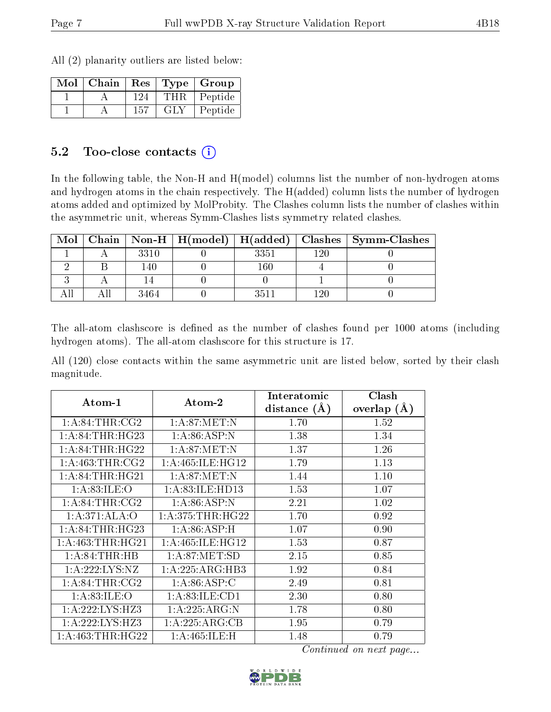All (2) planarity outliers are listed below:

| Mol | $\mid$ Chain |     |            | Res   Type   Group |
|-----|--------------|-----|------------|--------------------|
|     |              | 124 | <b>THR</b> | Peptide            |
|     |              | 157 | GLY        | Peptide            |

#### 5.2 Too-close contacts  $(i)$

In the following table, the Non-H and H(model) columns list the number of non-hydrogen atoms and hydrogen atoms in the chain respectively. The H(added) column lists the number of hydrogen atoms added and optimized by MolProbity. The Clashes column lists the number of clashes within the asymmetric unit, whereas Symm-Clashes lists symmetry related clashes.

| Mol |      |      |     | Chain   Non-H   H(model)   H(added)   Clashes   Symm-Clashes |
|-----|------|------|-----|--------------------------------------------------------------|
|     | 3310 | 3351 | 190 |                                                              |
|     | l 40 | 160  |     |                                                              |
|     |      |      |     |                                                              |
|     | 3464 | 3511 |     |                                                              |

The all-atom clashscore is defined as the number of clashes found per 1000 atoms (including hydrogen atoms). The all-atom clashscore for this structure is 17.

All (120) close contacts within the same asymmetric unit are listed below, sorted by their clash magnitude.

| $Atom-1$             | Atom-2              | Interatomic    | Clash         |
|----------------------|---------------------|----------------|---------------|
|                      |                     | distance $(A)$ | overlap $(A)$ |
| 1: A:84:THR:CG2      | 1: A:87: MET:N      | 1.70           | 1.52          |
| 1: A:84:THR:HG23     | 1: A:86: ASP:N      | 1.38           | 1.34          |
| 1: A:84:THR:HG22     | 1: A:87: MET: N     | 1.37           | 1.26          |
| 1: A: 463: THR: CG2  | 1: A:465: ILE: HG12 | 1.79           | 1.13          |
| 1: A:84:THR:HG21     | 1: A:87: MET: N     | 1.44           | 1.10          |
| 1: A:83: ILE:O       | 1:A:83:ILE:HD13     | 1.53           | 1.07          |
| 1: A:84:THR:CG2      | 1: A:86:ASP:N       | 2.21           | 1.02          |
| 1:A:371:ALA:O        | 1: A:375:THR:HG22   | 1.70           | 0.92          |
| 1: A:84:THR:HG23     | 1: A:86: ASP:H      | 1.07           | 0.90          |
| 1: A: 463: THR: HG21 | 1: A:465: ILE: HG12 | 1.53           | 0.87          |
| 1: A:84:THR:HB       | 1: A:87: MET:SD     | 2.15           | 0.85          |
| 1:A:222:LYS:NZ       | 1:A:225:ARG:HB3     | 1.92           | 0.84          |
| 1: A:84:THR:CG2      | 1: A:86: ASP:C      | 2.49           | 0.81          |
| 1: A:83: ILE:O       | 1: A:83: ILE: CD1   | 2.30           | 0.80          |
| 1:A:222:LYS:HZ3      | 1:A:225:ARG:N       | 1.78           | 0.80          |
| 1:A:222:LYS:HZ3      | 1: A:225: ARG:CB    | 1.95           | 0.79          |
| 1: A: 463: THR: HG22 | 1: A:465: ILE:H     | 1.48           | 0.79          |

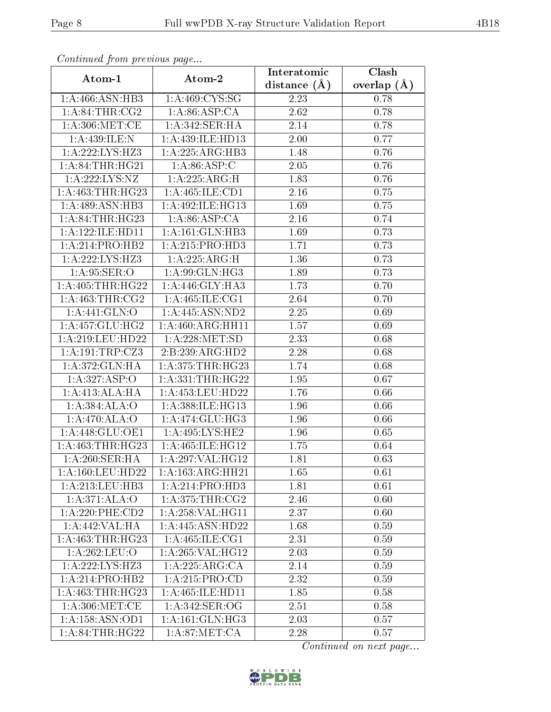| Continuea from previous page        |                             | Interatomic       | Clash         |
|-------------------------------------|-----------------------------|-------------------|---------------|
| Atom-1                              | Atom-2                      | distance $(A)$    | overlap $(A)$ |
| 1: A:466: ASN:HB3                   | 1:A:469:CYS:SG              | 2.23              | 0.78          |
| 1: A:84:THR:CG2                     | 1: A:86: ASP:CA             | 2.62              | 0.78          |
| 1: A:306: MET:CE                    | 1:A:342:SER:HA              | 2.14              | 0.78          |
| 1:A:439:ILE:N                       | 1:A:439:ILE:HD13            | 2.00              | 0.77          |
| 1:A:222:LYS:HZ3                     | 1:A:225:ARG:HB3             | 1.48              | 0.76          |
| 1:A:84:THR:HG21                     | 1: A:86: ASP:C              | 2.05              | 0.76          |
| 1:A:222:LYS:NZ                      | 1:A:225:ARG:H               | 1.83              | 0.76          |
| 1:A:463:THR:HG23                    | 1: A: 465: ILE: CD1         | 2.16              | 0.75          |
| 1: A:489: ASN:HB3                   | 1:A:492:ILE:HG13            | 1.69              | 0.75          |
| 1: A:84:THR:HG23                    | 1: A:86: ASP:CA             | 2.16              | 0.74          |
| 1:A:122:ILE:HD11                    | 1:A:161:GLN:HB3             | 1.69              | 0.73          |
| 1:A:214:PRO:HB2                     | 1:A:215:PRO:HD3             | 1.71              | 0.73          |
| $1:A:222:\overline{\text{LYS:HZ3}}$ | 1:A:225:ARG:H               | 1.36              | 0.73          |
| 1: A:95: SER:O                      | 1: A:99: GLN: HG3           | 1.89              | 0.73          |
| 1: A: 405: THR: HG22                | 1:A:446:GLY:HA3             | 1.73              | 0.70          |
| 1: A: 463: THR: CG2                 | 1: A:465: ILE: CG1          | 2.64              | 0.70          |
| 1:A:441:GLN:O                       | 1:A:445:ASN:ND2             | 2.25              | 0.69          |
| 1: A: 457: GLU: HG2                 | 1: A:460:ARG:HH11           | 1.57              | 0.69          |
| 1:A:219:LEU:HD22                    | 1: A:228: MET:SD            | 2.33              | 0.68          |
| 1:A:191:TRP:CZ3                     | 2:B:239:ARG:HD2             | 2.28              | 0.68          |
| 1:A:372:GLN:HA                      | 1: A:375:THR:HG23           | $\overline{1}.74$ | 0.68          |
| 1:A:327:ASP:O                       | 1: A: 331: THR: HG22        | 1.95              | 0.67          |
| 1:A:413:ALA:HA                      | 1:A:453:LEU:HD22            | 1.76              | 0.66          |
| 1:A:384:ALA:O                       | 1:A:388:ILE:HG13            | 1.96              | 0.66          |
| 1: A:470:ALA:O                      | 1:A:474:GLU:HG3             | 1.96              | 0.66          |
| 1: A:448: GLU:OE1                   | 1:A:495:LYS:HE2             | 1.96              | 0.65          |
| 1:A:463:THR:HG23                    | 1:A:465:ILE:HG12            | 1.75              | 0.64          |
| 1:A:260:SER:HA                      | 1:A:297:VAL:HG12            | 1.81              | 0.63          |
| 1: A:160:LEU:HD22                   | 1: A: 163: ARG: HH21        | 1.65              | 0.61          |
| 1: A:213:LEU:HB3                    | 1:A:214:PRO:H <sub>D3</sub> | 1.81              | 0.61          |
| 1:A:371:ALA:O                       | 1: A:375:THR:CG2            | 2.46              | 0.60          |
| 1:A:220:PHE:CD2                     | 1: A:258: VAL:HG11          | 2.37              | 0.60          |
| 1:A:442:VAL:HA                      | 1:A:445:ASN:HD22            | 1.68              | 0.59          |
| 1:A:463:THR:HG23                    | 1: A:465: ILE:CG1           | 2.31              | 0.59          |
| 1:A:262:LEU:O                       | 1: A:265: VAL:HG12          | 2.03              | 0.59          |
| $1:A:22\overline{2:LYS:HZ3}$        | 1:A:225:ARG:CA              | 2.14              | 0.59          |
| 1:A:214:PRO:HB2                     | 1:A:215:PRO:CD              | 2.32              | 0.59          |
| 1:A:463:THR:HG23                    | 1:A:465:ILE:HD11            | 1.85              | 0.58          |
| 1: A:306: MET:CE                    | 1: A:342: SER:OG            | 2.51              | 0.58          |
| 1:A:158:ASN:OD1                     | 1:A:161:GLN:HG3             | 2.03              | 0.57          |
| 1: A:84:THR:HG22                    | 1: A:87: MET:CA             | 2.28              | 0.57          |

Continued from previous page.

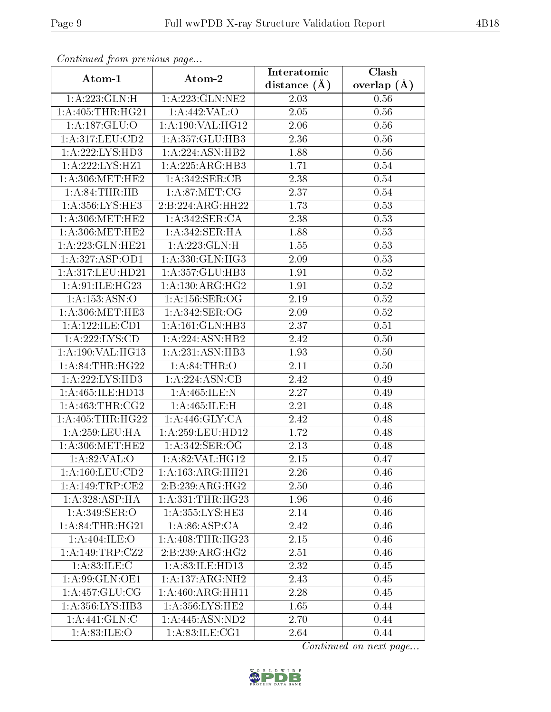| Continuou jiom protivus pago |                     | Interatomic       | Clash           |
|------------------------------|---------------------|-------------------|-----------------|
| Atom-1                       | Atom-2              | distance $(\AA)$  | overlap $(\AA)$ |
| 1: A: 223: GLN: H            | 1: A: 223: GLN: NE2 | 2.03              | 0.56            |
| 1: A:405:THR:HG21            | 1:A:442:VAL:O       | $\overline{2.05}$ | 0.56            |
| 1: A: 187: GLU:O             | 1:A:190:VAL:HG12    | 2.06              | 0.56            |
| 1:A:317:LEU:CD2              | 1:A:357:GLU:HB3     | 2.36              | 0.56            |
| 1:A:222:LYS:HD3              | 1:A:224:ASN:HB2     | 1.88              | 0.56            |
| 1:A:222:LYS:HZ1              | 1:A:225:ARG:HB3     | 1.71              | 0.54            |
| 1: A:306:MET:HE2             | 1:A:342:SER:CB      | 2.38              | 0.54            |
| 1: A:84:THR:HB               | 1: A:87: MET:CG     | 2.37              | 0.54            |
| 1: A: 356: LYS: HE3          | 2:B:224:ARG:HH22    | 1.73              | 0.53            |
| 1: A:306:MET:HE2             | 1: A:342: SER:CA    | 2.38              | 0.53            |
| 1: A:306:MET:HE2             | 1:A:342:SER:HA      | 1.88              | 0.53            |
| 1: A:223: GLN: HE21          | 1:A:223:GLN:H       | 1.55              | 0.53            |
| 1:A:327:ASP:OD1              | 1:A:330:GLN:HG3     | 2.09              | 0.53            |
| 1:A:317:LEU:HD21             | 1:A:357:GLU:HB3     | 1.91              | $0.52\,$        |
| 1:A:91:ILE:HG23              | 1: A:130:ARG:HG2    | 1.91              | $0.52\,$        |
| 1:A:153:ASN:O                | 1:A:156:SER:OG      | 2.19              | 0.52            |
| 1: A:306:MET:HE3             | 1:A:342:SER:OG      | 2.09              | 0.52            |
| 1:A:122:ILE:CD1              | 1: A:161: GLN:HB3   | 2.37              | 0.51            |
| 1:A:222:LYS:CD               | 1:A:224:ASN:HB2     | 2.42              | 0.50            |
| 1: A: 190: VAL: HG13         | 1:A:231:ASN:HB3     | 1.93              | 0.50            |
| 1: A:84:THR:HG22             | 1: A:84:THR:O       | 2.11              | 0.50            |
| 1:A:222:LYS:HD3              | 1:A:224:ASN:CB      | 2.42              | 0.49            |
| 1:A:465:ILE:HD13             | 1:A:465:ILE:N       | 2.27              | 0.49            |
| 1: A: 463: THR: CG2          | 1:A:465:ILE:H       | 2.21              | 0.48            |
| 1: A:405:THR:HG22            | 1:A:446:GLY:CA      | 2.42              | 0.48            |
| 1: A: 259: LEU: HA           | 1:A:259:LEU:HD12    | 1.72              | 0.48            |
| 1: A:306:MET:HE2             | 1: A:342: SER:OG    | 2.13              | 0.48            |
| 1:A:82:VAL:O                 | 1:A:82:VAL:HG12     | 2.15              | 0.47            |
| 1: A: 160: LEU: CD2          | 1:A:163:ARG:HH21    | 2.26              | 0.46            |
| 1:A:149:TRP:CE2              | 2:B:239:ARG:HG2     | 2.50              | 0.46            |
| 1: A:328: ASP:HA             | 1:A:331:THR:HG23    | 1.96              | 0.46            |
| 1: A:349: SER:O              | 1: A: 355: LYS: HE3 | 2.14              | 0.46            |
| 1: A:84:THR:HG21             | 1: A:86: ASP:CA     | 2.42              | 0.46            |
| 1:A:404:ILE:O                | 1: A:408:THR:HG23   | 2.15              | 0.46            |
| 1:A:149:TRP:CZ2              | 2:B:239:ARG:HG2     | 2.51              | 0.46            |
| 1: A:83: ILE:C               | 1:A:83:ILE:HD13     | 2.32              | 0.45            |
| 1: A:99: GLN: OE1            | 1: A: 137: ARG: NH2 | 2.43              | 0.45            |
| 1: A: 457: GLU: CG           | 1:A:460:ARG:HH11    | 2.28              | 0.45            |
| 1:A:356:LYS:HB3              | 1:A:356:LYS:HE2     | 1.65              | 0.44            |
| 1:A:441:GLN:C                | 1: A:445: ASN:ND2   | 2.70              | 0.44            |
| 1: A:83: ILE: O              | 1: A:83: ILE:CG1    | 2.64              | 0.44            |

Continued from previous page.

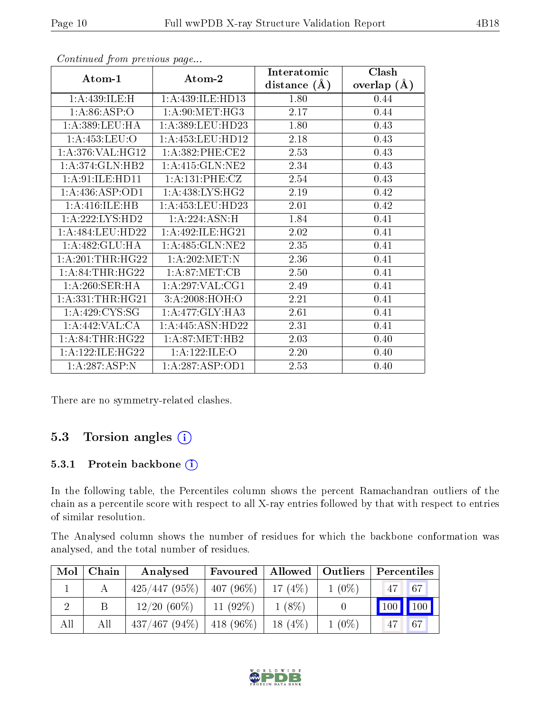| Atom-1                       | Atom-2                          | Interatomic    | Clash         |
|------------------------------|---------------------------------|----------------|---------------|
|                              |                                 | distance $(A)$ | overlap $(A)$ |
| 1: A:439: ILE:H              | 1:A:439:ILE:HD13                | 1.80           | 0.44          |
| 1: A:86:ASP:O                | 1: A:90:MET:HG3                 | 2.17           | 0.44          |
| 1: A: 389: LEU: HA           | 1: A: 389: LEU: HD23            | 1.80           | 0.43          |
| 1: A:453:LEU:O               | 1: A: 453: LEU: HD12            | 2.18           | 0.43          |
| 1: A:376: VAL:HGI2           | 1:A:382:PHE:CE2                 | 2.53           | 0.43          |
| $1:A:374:GLN:H\overline{B2}$ | $1: A:415: GLN: \overline{NE2}$ | 2.34           | 0.43          |
| 1:A:91:ILE:HD11              | 1: A:131: PHE: CZ               | 2.54           | 0.43          |
| 1: A: 436: ASP: OD1          | 1:A:438:LYS:HG2                 | 2.19           | 0.42          |
| 1:A:416:ILE:HB               | 1: A: 453: LEU: HD23            | 2.01           | 0.42          |
| 1:A:222:LYS:HD2              | 1:A:224:ASN:H                   | 1.84           | 0.41          |
| 1:A:484:LEU:HD22             | 1:A:492:ILE:HG21                | 2.02           | 0.41          |
| 1:A:482:GLU:HA               | 1:A:485:GLN:NE2                 | 2.35           | 0.41          |
| 1: A:201:THR:HG22            | 1: A:202:MET:N                  | 2.36           | 0.41          |
| 1: A:84:THR:HG22             | 1: A:87: MET:CB                 | 2.50           | 0.41          |
| 1:A:260:SER:HA               | 1: A:297: VAL:CG1               | 2.49           | 0.41          |
| 1: A: 331: THR: HG21         | 3:A:2008:HOH:O                  | 2.21           | 0.41          |
| 1: A:429: CYS:SG             | 1:A:477:GLY:HA3                 | 2.61           | 0.41          |
| 1:A:442:VAL:CA               | 1:A:445:ASN:HD22                | 2.31           | 0.41          |
| 1: A:84:THR:HG22             | 1: A:87: MET:HB2                | 2.03           | 0.40          |
| 1: A: 122: ILE: HG22         | 1:A:122:ILE:O                   | 2.20           | 0.40          |
| $1:A:287:ASP:\overline{N}$   | 1:A:287:ASP:OD1                 | 2.53           | 0.40          |

Continued from previous page...

There are no symmetry-related clashes.

### 5.3 Torsion angles (i)

#### 5.3.1 Protein backbone (i)

In the following table, the Percentiles column shows the percent Ramachandran outliers of the chain as a percentile score with respect to all X-ray entries followed by that with respect to entries of similar resolution.

The Analysed column shows the number of residues for which the backbone conformation was analysed, and the total number of residues.

| Mol | Chain | Analysed                      | Favoured                |           | $\mid$ Allowed $\mid$ Outliers | Percentiles                     |    |
|-----|-------|-------------------------------|-------------------------|-----------|--------------------------------|---------------------------------|----|
|     |       | 425/447(95%)                  | $ 407 (96\%)  17 (4\%)$ |           | $1(0\%)$                       | $\sqrt{47}$                     | 67 |
|     |       | $12/20(60\%)$                 | $11(92\%)$              | $1(8\%)$  |                                | $\vert$ 100 $\vert$ 100 $\vert$ |    |
| All | All   | $437/467 (94\%)$   418 (96\%) |                         | $18(4\%)$ | $1(0\%)$                       | 47                              | 67 |

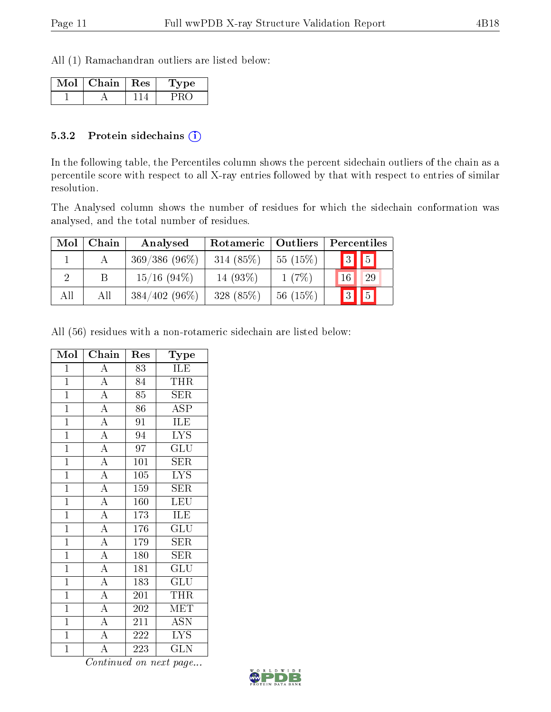All (1) Ramachandran outliers are listed below:

| Mol | Chain   Res | Type |
|-----|-------------|------|
|     |             |      |

#### 5.3.2 Protein sidechains (i)

In the following table, the Percentiles column shows the percent sidechain outliers of the chain as a percentile score with respect to all X-ray entries followed by that with respect to entries of similar resolution.

The Analysed column shows the number of residues for which the sidechain conformation was analysed, and the total number of residues.

| Mol           | Chain | Analysed        | Rotameric  | Outliers | Percentiles |
|---------------|-------|-----------------|------------|----------|-------------|
|               |       | $369/386(96\%)$ | 314 (85%)  | 55(15%)  | 3           |
| $\mathcal{D}$ |       | $15/16$ (94\%)  | 14 $(93%)$ | 1(7%)    | 29          |
| All           | All   | $384/402(96\%)$ | 328 (85%)  | 56(15%)  |             |

All (56) residues with a non-rotameric sidechain are listed below:

| Mol            | Chain                               | Res              | Type                      |
|----------------|-------------------------------------|------------------|---------------------------|
| $\mathbf 1$    | $\overline{\rm A}$                  | $\overline{83}$  | $1\overline{\text{LE}}$   |
| $\mathbf{1}$   | $\overline{A}$                      | 84               | <b>THR</b>                |
| $\overline{1}$ | $\overline{A}$                      | $\overline{85}$  | $\overline{\text{SER}}$   |
| $\overline{1}$ | $\overline{A}$                      | 86               | <b>ASP</b>                |
| $\mathbf{1}$   | $\overline{A}$                      | $9\overline{1}$  | ILE                       |
| $\overline{1}$ | $\overline{A}$                      | 94               | $\overline{\text{LYS}}$   |
| $\overline{1}$ | $\overline{A}$                      | $\overline{97}$  | $\widetilde{{\rm GLU}}$   |
| $\mathbf{1}$   | $\frac{\overline{A}}{\overline{A}}$ | 101              | <b>SER</b>                |
| $\mathbf{1}$   |                                     | 105              | <b>LYS</b>                |
| $\mathbf{1}$   | $\overline{A}$                      | 159              | SER                       |
| $\overline{1}$ | $\frac{\overline{A}}{\overline{A}}$ | 160              | LEU                       |
| $\mathbf{1}$   |                                     | 173              | ILE                       |
| $\overline{1}$ | $\overline{A}$                      | $\overline{176}$ | $\overline{{\rm GLU}}$    |
| $\mathbf{1}$   | $\overline{A}$                      | 179              | SER                       |
| $\overline{1}$ | $\overline{A}$                      | 180              | <b>SER</b>                |
| $\mathbf{1}$   | $\overline{A}$                      | 181              | $\overline{\mathrm{GLU}}$ |
| $\mathbf{1}$   | $\overline{A}$                      | 183              | $\overline{{\rm GLU}}$    |
| $\overline{1}$ | $\overline{A}$                      | 201              | <b>THR</b>                |
| $\overline{1}$ | $\overline{A}$                      | 202              | MET                       |
| $\mathbf{1}$   | $\overline{A}$                      | 211              | ASN                       |
| $\overline{1}$ | $\overline{A}$                      | 222              | <b>LYS</b>                |
| $\mathbf 1$    | $\overline{\rm A}$                  | 223              | <b>GLN</b>                |

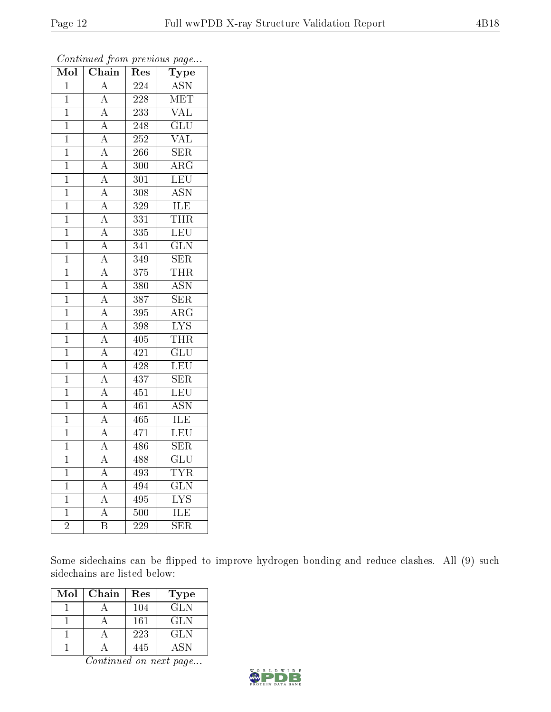| $\overline{\text{Mol}}$ | Chain                   | Res              | ${\bf \overline{Type}}$   |
|-------------------------|-------------------------|------------------|---------------------------|
| $\mathbf{1}$            | $\overline{\rm A}$      | $\overline{224}$ | <b>ASN</b>                |
| $\mathbf 1$             | $\overline{\rm A}$      | 228              | <b>MET</b>                |
| $\mathbf{1}$            | $\overline{A}$          | 233              | $\overline{\text{VAL}}$   |
| $\overline{1}$          | $\overline{A}$          | 248              | $\overline{\text{GLU}}$   |
| $\overline{1}$          | $\overline{A}$          | $\overline{252}$ | $\overline{\text{VAL}}$   |
| $\mathbf{1}$            | $\overline{A}$          | 266              | <b>SER</b>                |
| $\mathbf{1}$            | $\overline{A}$          | 300              | $\bar{\rm{ARG}}$          |
| $\mathbf 1$             | $\overline{A}$          | 301              | $\overline{\text{LEU}}$   |
| $\mathbf 1$             | $\overline{\rm A}$      | 308              | $\overline{\text{ASN}}$   |
| $\overline{1}$          | $\overline{A}$          | $\overline{329}$ | $\overline{\text{ILE}}$   |
| $\mathbf{1}$            | $\overline{A}$          | 331              | $\overline{\text{THR}}$   |
| $\overline{1}$          | $\overline{A}$          | $\overline{335}$ | $\overline{\text{LEU}}$   |
| $\mathbf{1}$            | $\overline{A}$          | 341              | $\overline{\text{GLN}}$   |
| $\mathbf{1}$            | $\overline{A}$          | 349              | $\overline{\text{SER}}$   |
| $\mathbf{1}$            | $\overline{\rm A}$      | 375              | <b>THR</b>                |
| $\mathbf{1}$            | $\overline{A}$          | $\overline{380}$ | $\overline{\text{ASN}}$   |
| $\mathbf{1}$            | $\overline{\rm A}$      | 387              | $\overline{\text{SER}}$   |
| $\mathbf{1}$            | $\overline{A}$          | 395              | $\overline{\rm{ARG}}$     |
| $\mathbf{1}$            | $\overline{A}$          | 398              | $\overline{\mathrm{LYS}}$ |
| $\mathbf{1}$            | $\overline{A}$          | $\overline{405}$ | THR                       |
| $\mathbf{1}$            | $\overline{A}$          | 421              | $\overline{\text{GLU}}$   |
| $\mathbf 1$             | $\overline{A}$          | $\overline{428}$ | $\overline{\text{LEU}}$   |
| $\mathbf 1$             | $\overline{A}$          | 437              | <b>SER</b>                |
| $\mathbf{1}$            | $\overline{A}$          | $\overline{451}$ | $\overline{\text{LEU}}$   |
| $\mathbf 1$             | $\overline{A}$          | 461              | $\overline{\text{ASN}}$   |
| $\mathbf{1}$            | $\overline{A}$          | 465              | ILE                       |
| $\overline{1}$          | $\overline{A}$          | 471              | $\overline{\textrm{LEU}}$ |
| $\mathbf{1}$            | $\overline{A}$          | 486              | $\overline{\text{SER}}$   |
| $\overline{1}$          | $\overline{A}$          | 488              | $\overline{\text{GLU}}$   |
| $\mathbf{1}$            | $\overline{A}$          | 493              | <b>TYR</b>                |
| $\mathbf{1}$            | $\overline{\rm A}$      | 494              | $\overline{\text{GLN}}$   |
| $\mathbf{1}$            | $\overline{A}$          | 495              | $\overline{\text{LYS}}$   |
| $\overline{1}$          | $\overline{\rm A}$      | 500              | ILE                       |
| $\overline{2}$          | $\overline{\mathrm{B}}$ | $\overline{229}$ | $\overline{\text{SER}}$   |

Continued from previous page...

Some sidechains can be flipped to improve hydrogen bonding and reduce clashes. All (9) such sidechains are listed below:

| Mol | Chain | Res | Type |
|-----|-------|-----|------|
|     |       | 104 | GL N |
|     |       | 161 | GL N |
|     |       | 223 | GLN  |
|     |       | 445 | A SN |

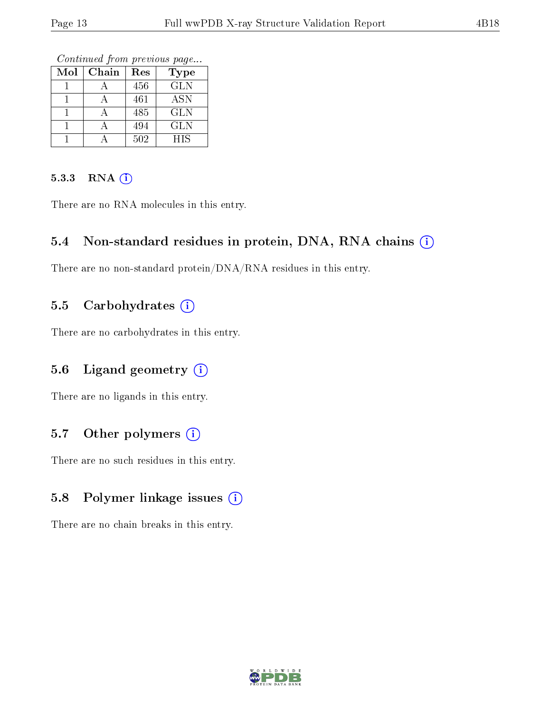Continued from previous page...

| Mol | Chain | Res | <b>Type</b> |
|-----|-------|-----|-------------|
|     |       | 456 | <b>GLN</b>  |
|     |       | 461 | <b>ASN</b>  |
|     |       | 485 | <b>GLN</b>  |
|     |       | 494 | GLN         |
|     |       | 502 | <b>HIS</b>  |

#### 5.3.3 RNA (i)

There are no RNA molecules in this entry.

#### 5.4 Non-standard residues in protein, DNA, RNA chains (i)

There are no non-standard protein/DNA/RNA residues in this entry.

#### 5.5 Carbohydrates  $(i)$

There are no carbohydrates in this entry.

#### 5.6 Ligand geometry  $(i)$

There are no ligands in this entry.

#### 5.7 [O](https://www.wwpdb.org/validation/2017/XrayValidationReportHelp#nonstandard_residues_and_ligands)ther polymers  $(i)$

There are no such residues in this entry.

### 5.8 Polymer linkage issues  $(i)$

There are no chain breaks in this entry.

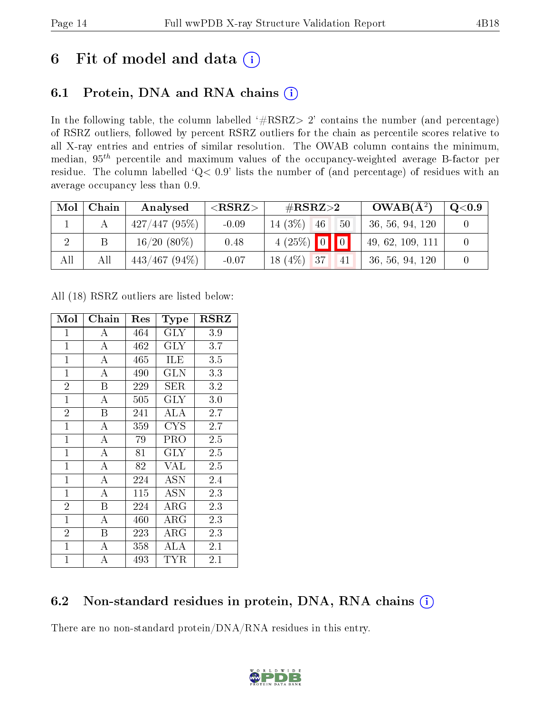# 6 Fit of model and data  $(i)$

### 6.1 Protein, DNA and RNA chains  $(i)$

In the following table, the column labelled  $#RSRZ> 2'$  contains the number (and percentage) of RSRZ outliers, followed by percent RSRZ outliers for the chain as percentile scores relative to all X-ray entries and entries of similar resolution. The OWAB column contains the minimum, median,  $95<sup>th</sup>$  percentile and maximum values of the occupancy-weighted average B-factor per residue. The column labelled ' $Q< 0.9$ ' lists the number of (and percentage) of residues with an average occupancy less than 0.9.

| Mol | Chain | Analysed         | ${ <\hspace{-1.5pt}{\mathrm{RSRZ}} \hspace{-1.5pt}>}$ | $\#\text{RSRZ}\text{>2}$                        | $OWAB(A^2)$      | $\mathrm{Q}{<}0.9$ |
|-----|-------|------------------|-------------------------------------------------------|-------------------------------------------------|------------------|--------------------|
|     |       | 427/447(95%)     | $-0.09$                                               | 14 $(3%)$<br>50<br>46                           | 36, 56, 94, 120  |                    |
|     |       | $16/20(80\%)$    | 0.48                                                  | $4(25\%)$ 0 0                                   | 49, 62, 109, 111 |                    |
| All | All   | $443/467$ (94\%) | $-0.07$                                               | $(4\%)$<br>$\sqrt{37}$<br>18 <sub>1</sub><br>41 | 36, 56, 94, 120  |                    |

All (18) RSRZ outliers are listed below:

| Mol            | Chain            | Res | Type        | $_{\rm RSRZ}$ |
|----------------|------------------|-----|-------------|---------------|
| $\mathbf{1}$   | A                | 464 | $\rm GLY$   | 3.9           |
| $\overline{1}$ | $\bf{A}$         | 462 | <b>GLY</b>  | 3.7           |
| $\mathbf{1}$   | A                | 465 | ILE         | 3.5           |
| $\mathbf{1}$   | A                | 490 | GLN         | 3.3           |
| $\overline{2}$ | B                | 229 | SER         | 3.2           |
| $\mathbf{1}$   | А                | 505 | $\rm GLY$   | 3.0           |
| $\overline{2}$ | B                | 241 | ALA         | 2.7           |
| $\mathbf{1}$   | А                | 359 | CYS         | 2.7           |
| $\mathbf{1}$   | $\bf{A}$         | 79  | PRO         | 2.5           |
| $\mathbf{1}$   | $\bf{A}$         | 81  | <b>GLY</b>  | 2.5           |
| $\mathbf{1}$   | $\boldsymbol{A}$ | 82  | <b>VAL</b>  | 2.5           |
| $\mathbf{1}$   | A                | 224 | ASN         | 2.4           |
| $\mathbf{1}$   | A                | 115 | ASN         | 2.3           |
| $\overline{2}$ | B                | 224 | ${\rm ARG}$ | 2.3           |
| $\mathbf{1}$   | А                | 460 | $\rm{ARG}$  | 2.3           |
| $\overline{2}$ | B                | 223 | $\rm{ARG}$  | 2.3           |
| $\mathbf{1}$   | А                | 358 | ALA         | 2.1           |
| $\mathbf{1}$   | А                | 493 | TYR         | 2.1           |

### 6.2 Non-standard residues in protein, DNA, RNA chains (i)

There are no non-standard protein/DNA/RNA residues in this entry.